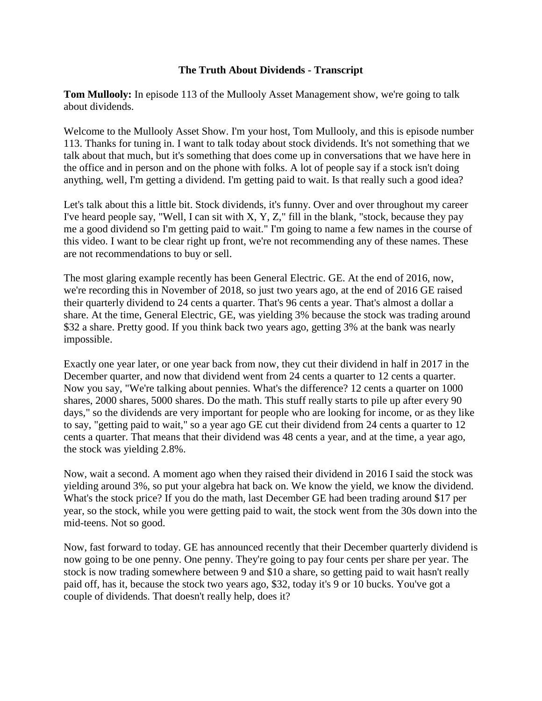## **The Truth About Dividends - Transcript**

**Tom Mullooly:** In episode 113 of the Mullooly Asset Management show, we're going to talk about dividends.

Welcome to the Mullooly Asset Show. I'm your host, Tom Mullooly, and this is episode number 113. Thanks for tuning in. I want to talk today about stock dividends. It's not something that we talk about that much, but it's something that does come up in conversations that we have here in the office and in person and on the phone with folks. A lot of people say if a stock isn't doing anything, well, I'm getting a dividend. I'm getting paid to wait. Is that really such a good idea?

Let's talk about this a little bit. Stock dividends, it's funny. Over and over throughout my career I've heard people say, "Well, I can sit with  $X, Y, Z$ ," fill in the blank, "stock, because they pay me a good dividend so I'm getting paid to wait." I'm going to name a few names in the course of this video. I want to be clear right up front, we're not recommending any of these names. These are not recommendations to buy or sell.

The most glaring example recently has been General Electric. GE. At the end of 2016, now, we're recording this in November of 2018, so just two years ago, at the end of 2016 GE raised their quarterly dividend to 24 cents a quarter. That's 96 cents a year. That's almost a dollar a share. At the time, General Electric, GE, was yielding 3% because the stock was trading around \$32 a share. Pretty good. If you think back two years ago, getting 3% at the bank was nearly impossible.

Exactly one year later, or one year back from now, they cut their dividend in half in 2017 in the December quarter, and now that dividend went from 24 cents a quarter to 12 cents a quarter. Now you say, "We're talking about pennies. What's the difference? 12 cents a quarter on 1000 shares, 2000 shares, 5000 shares. Do the math. This stuff really starts to pile up after every 90 days," so the dividends are very important for people who are looking for income, or as they like to say, "getting paid to wait," so a year ago GE cut their dividend from 24 cents a quarter to 12 cents a quarter. That means that their dividend was 48 cents a year, and at the time, a year ago, the stock was yielding 2.8%.

Now, wait a second. A moment ago when they raised their dividend in 2016 I said the stock was yielding around 3%, so put your algebra hat back on. We know the yield, we know the dividend. What's the stock price? If you do the math, last December GE had been trading around \$17 per year, so the stock, while you were getting paid to wait, the stock went from the 30s down into the mid-teens. Not so good.

Now, fast forward to today. GE has announced recently that their December quarterly dividend is now going to be one penny. One penny. They're going to pay four cents per share per year. The stock is now trading somewhere between 9 and \$10 a share, so getting paid to wait hasn't really paid off, has it, because the stock two years ago, \$32, today it's 9 or 10 bucks. You've got a couple of dividends. That doesn't really help, does it?